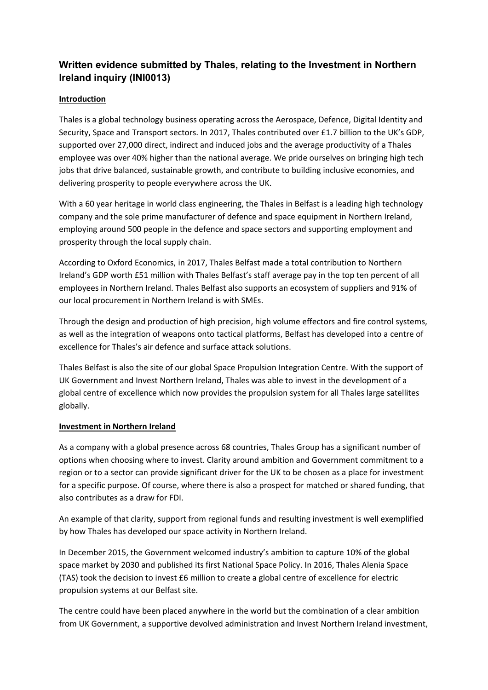# **Written evidence submitted by Thales, relating to the Investment in Northern Ireland inquiry (INI0013)**

## **Introduction**

Thales is a global technology business operating across the Aerospace, Defence, Digital Identity and Security, Space and Transport sectors. In 2017, Thales contributed over £1.7 billion to the UK's GDP, supported over 27,000 direct, indirect and induced jobs and the average productivity of a Thales employee was over 40% higher than the national average. We pride ourselves on bringing high tech jobs that drive balanced, sustainable growth, and contribute to building inclusive economies, and delivering prosperity to people everywhere across the UK.

With a 60 year heritage in world class engineering, the Thales in Belfast is a leading high technology company and the sole prime manufacturer of defence and space equipment in Northern Ireland, employing around 500 people in the defence and space sectors and supporting employment and prosperity through the local supply chain.

According to Oxford Economics, in 2017, Thales Belfast made a total contribution to Northern Ireland's GDP worth £51 million with Thales Belfast's staff average pay in the top ten percent of all employees in Northern Ireland. Thales Belfast also supports an ecosystem of suppliers and 91% of our local procurement in Northern Ireland is with SMEs.

Through the design and production of high precision, high volume effectors and fire control systems, as well as the integration of weapons onto tactical platforms, Belfast has developed into a centre of excellence for Thales's air defence and surface attack solutions.

Thales Belfast is also the site of our global Space Propulsion Integration Centre. With the support of UK Government and Invest Northern Ireland, Thales was able to invest in the development of a global centre of excellence which now provides the propulsion system for all Thales large satellites globally.

### **Investment in Northern Ireland**

As a company with a global presence across 68 countries, Thales Group has a significant number of options when choosing where to invest. Clarity around ambition and Government commitment to a region or to a sector can provide significant driver for the UK to be chosen as a place for investment for a specific purpose. Of course, where there is also a prospect for matched or shared funding, that also contributes as a draw for FDI.

An example of that clarity, support from regional funds and resulting investment is well exemplified by how Thales has developed our space activity in Northern Ireland.

In December 2015, the Government welcomed industry's ambition to capture 10% of the global space market by 2030 and published its first National Space Policy. In 2016, Thales Alenia Space (TAS) took the decision to invest £6 million to create a global centre of excellence for electric propulsion systems at our Belfast site.

The centre could have been placed anywhere in the world but the combination of a clear ambition from UK Government, a supportive devolved administration and Invest Northern Ireland investment,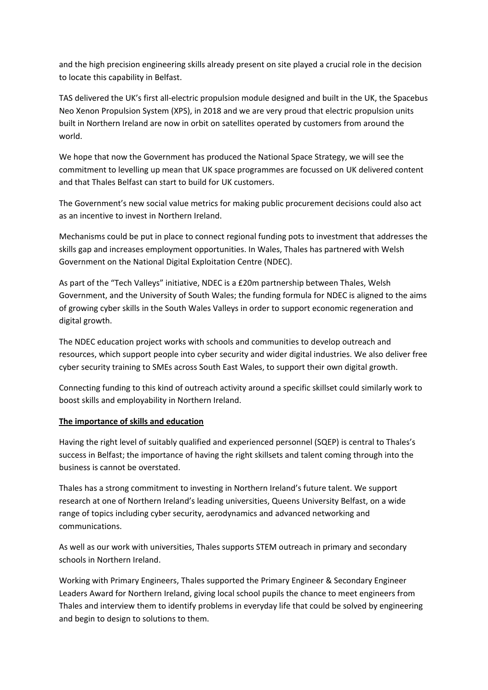and the high precision engineering skills already present on site played a crucial role in the decision to locate this capability in Belfast.

TAS delivered the UK's first all-electric propulsion module designed and built in the UK, the Spacebus Neo Xenon Propulsion System (XPS), in 2018 and we are very proud that electric propulsion units built in Northern Ireland are now in orbit on satellites operated by customers from around the world.

We hope that now the Government has produced the National Space Strategy, we will see the commitment to levelling up mean that UK space programmes are focussed on UK delivered content and that Thales Belfast can start to build for UK customers.

The Government's new social value metrics for making public procurement decisions could also act as an incentive to invest in Northern Ireland.

Mechanisms could be put in place to connect regional funding pots to investment that addresses the skills gap and increases employment opportunities. In Wales, Thales has partnered with Welsh Government on the National Digital Exploitation Centre (NDEC).

As part of the "Tech Valleys" initiative, NDEC is a £20m partnership between Thales, Welsh Government, and the University of South Wales; the funding formula for NDEC is aligned to the aims of growing cyber skills in the South Wales Valleys in order to support economic regeneration and digital growth.

The NDEC education project works with schools and communities to develop outreach and resources, which support people into cyber security and wider digital industries. We also deliver free cyber security training to SMEs across South East Wales, to support their own digital growth.

Connecting funding to this kind of outreach activity around a specific skillset could similarly work to boost skills and employability in Northern Ireland.

### **The importance of skills and education**

Having the right level of suitably qualified and experienced personnel (SQEP) is central to Thales's success in Belfast; the importance of having the right skillsets and talent coming through into the business is cannot be overstated.

Thales has a strong commitment to investing in Northern Ireland's future talent. We support research at one of Northern Ireland's leading universities, Queens University Belfast, on a wide range of topics including cyber security, aerodynamics and advanced networking and communications.

As well as our work with universities, Thales supports STEM outreach in primary and secondary schools in Northern Ireland.

Working with Primary Engineers, Thales supported the Primary Engineer & Secondary Engineer Leaders Award for Northern Ireland, giving local school pupils the chance to meet engineers from Thales and interview them to identify problems in everyday life that could be solved by engineering and begin to design to solutions to them.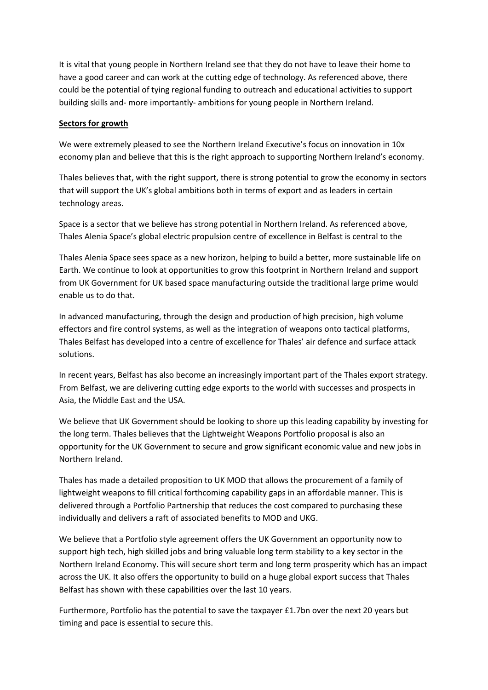It is vital that young people in Northern Ireland see that they do not have to leave their home to have a good career and can work at the cutting edge of technology. As referenced above, there could be the potential of tying regional funding to outreach and educational activities to support building skills and- more importantly- ambitions for young people in Northern Ireland.

#### **Sectors for growth**

We were extremely pleased to see the Northern Ireland Executive's focus on innovation in 10x economy plan and believe that this is the right approach to supporting Northern Ireland's economy.

Thales believes that, with the right support, there is strong potential to grow the economy in sectors that will support the UK's global ambitions both in terms of export and as leaders in certain technology areas.

Space is a sector that we believe has strong potential in Northern Ireland. As referenced above, Thales Alenia Space's global electric propulsion centre of excellence in Belfast is central to the

Thales Alenia Space sees space as a new horizon, helping to build a better, more sustainable life on Earth. We continue to look at opportunities to grow this footprint in Northern Ireland and support from UK Government for UK based space manufacturing outside the traditional large prime would enable us to do that.

In advanced manufacturing, through the design and production of high precision, high volume effectors and fire control systems, as well as the integration of weapons onto tactical platforms, Thales Belfast has developed into a centre of excellence for Thales' air defence and surface attack solutions.

In recent years, Belfast has also become an increasingly important part of the Thales export strategy. From Belfast, we are delivering cutting edge exports to the world with successes and prospects in Asia, the Middle East and the USA.

We believe that UK Government should be looking to shore up this leading capability by investing for the long term. Thales believes that the Lightweight Weapons Portfolio proposal is also an opportunity for the UK Government to secure and grow significant economic value and new jobs in Northern Ireland.

Thales has made a detailed proposition to UK MOD that allows the procurement of a family of lightweight weapons to fill critical forthcoming capability gaps in an affordable manner. This is delivered through a Portfolio Partnership that reduces the cost compared to purchasing these individually and delivers a raft of associated benefits to MOD and UKG.

We believe that a Portfolio style agreement offers the UK Government an opportunity now to support high tech, high skilled jobs and bring valuable long term stability to a key sector in the Northern Ireland Economy. This will secure short term and long term prosperity which has an impact across the UK. It also offers the opportunity to build on a huge global export success that Thales Belfast has shown with these capabilities over the last 10 years.

Furthermore, Portfolio has the potential to save the taxpayer £1.7bn over the next 20 years but timing and pace is essential to secure this.